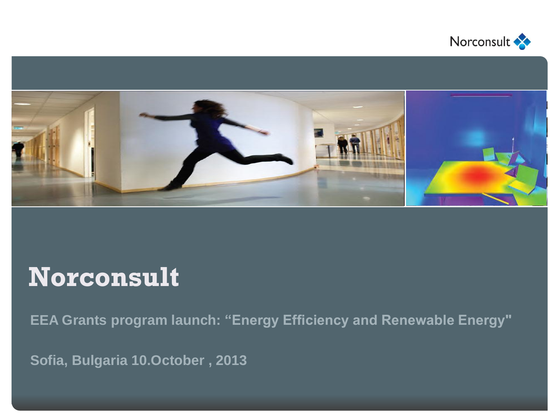



## **Norconsult**

**EEA Grants program launch: "Energy Efficiency and Renewable Energy"**

**Sofia, Bulgaria 10.October , 2013**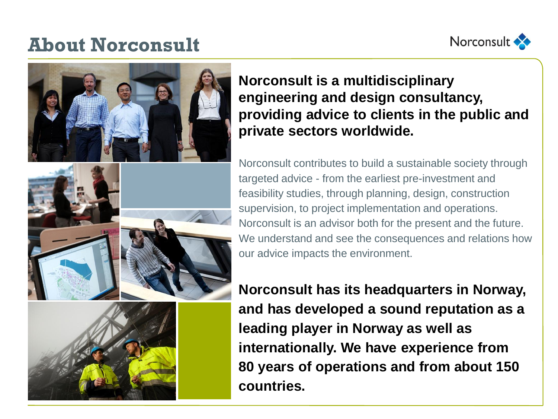### **About Norconsult**





**Norconsult is a multidisciplinary engineering and design consultancy, providing advice to clients in the public and private sectors worldwide.** 

Norconsult contributes to build a sustainable society through targeted advice - from the earliest pre-investment and feasibility studies, through planning, design, construction supervision, to project implementation and operations. Norconsult is an advisor both for the present and the future. We understand and see the consequences and relations how our advice impacts the environment.

**Norconsult has its headquarters in Norway, and has developed a sound reputation as a leading player in Norway as well as internationally. We have experience from 80 years of operations and from about 150 countries.**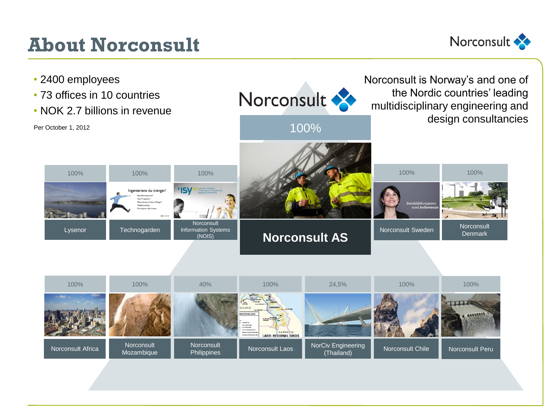## **About Norconsult**



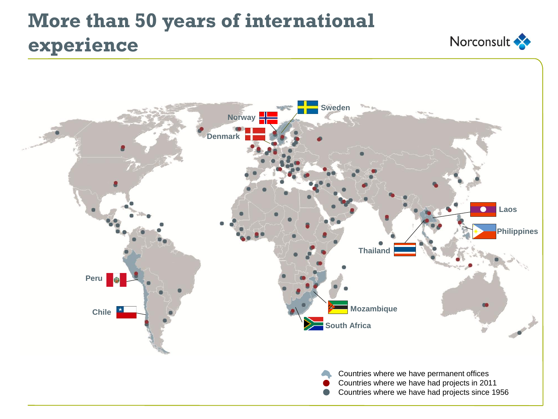## **More than 50 years of international experience**



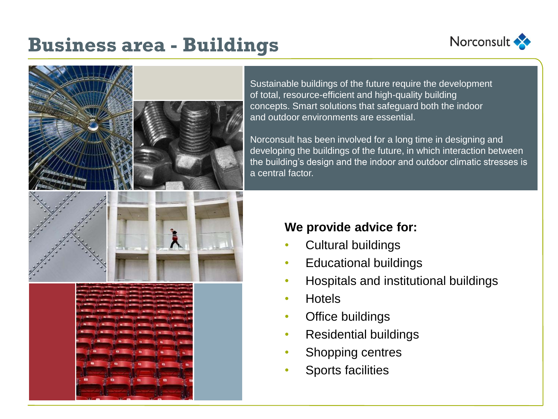## **Business area - Buildings**





Sustainable buildings of the future require the development of total, resource-efficient and high-quality building concepts. Smart solutions that safeguard both the indoor and outdoor environments are essential.

Norconsult has been involved for a long time in designing and developing the buildings of the future, in which interaction between the building's design and the indoor and outdoor climatic stresses is a central factor.

#### **We provide advice for:**

- Cultural buildings
- Educational buildings
- Hospitals and institutional buildings
- Hotels
- **Office buildings**
- Residential buildings
- Shopping centres
- Sports facilities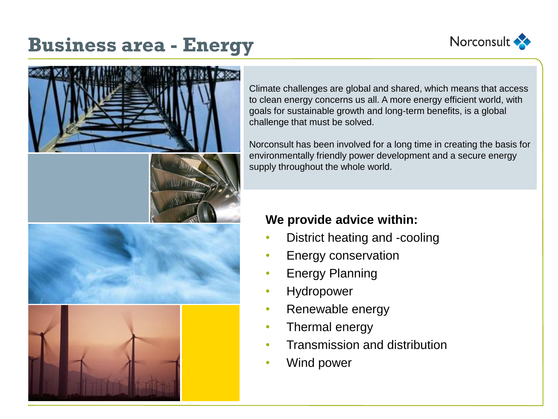

## **Business area - Energy**



Climate challenges are global and shared, which means that access to clean energy concerns us all. A more energy efficient world, with goals for sustainable growth and long-term benefits, is a global challenge that must be solved.

Norconsult has been involved for a long time in creating the basis for environmentally friendly power development and a secure energy supply throughout the whole world.

#### **We provide advice within:**

- District heating and -cooling
- Energy conservation
- Energy Planning
- **Hydropower**
- Renewable energy
- Thermal energy
- Transmission and distribution
- Wind power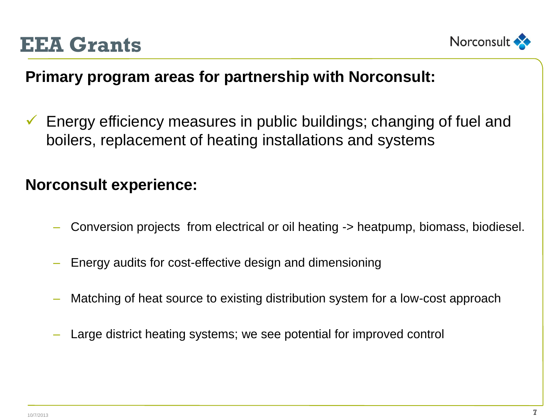



#### **Primary program areas for partnership with Norconsult:**

 $\checkmark$  Energy efficiency measures in public buildings; changing of fuel and boilers, replacement of heating installations and systems

#### **Norconsult experience:**

- Conversion projects from electrical or oil heating -> heatpump, biomass, biodiesel.
- Energy audits for cost-effective design and dimensioning
- Matching of heat source to existing distribution system for a low-cost approach
- Large district heating systems; we see potential for improved control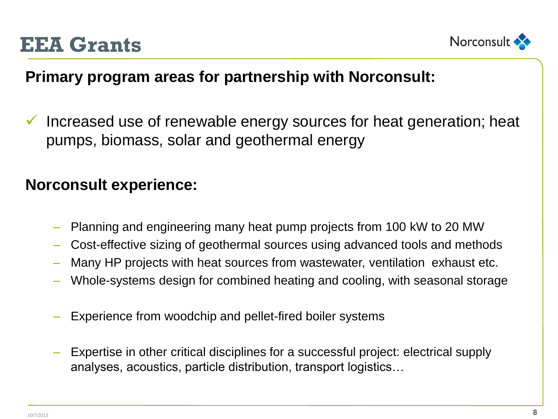



#### **Primary program areas for partnership with Norconsult:**

 $\checkmark$  Increased use of renewable energy sources for heat generation; heat pumps, biomass, solar and geothermal energy

#### **Norconsult experience:**

- Planning and engineering many heat pump projects from 100 kW to 20 MW
- Cost-effective sizing of geothermal sources using advanced tools and methods
- Many HP projects with heat sources from wastewater, ventilation exhaust etc.
- Whole-systems design for combined heating and cooling, with seasonal storage
- Experience from woodchip and pellet-fired boiler systems
- Expertise in other critical disciplines for a successful project: electrical supply analyses, acoustics, particle distribution, transport logistics…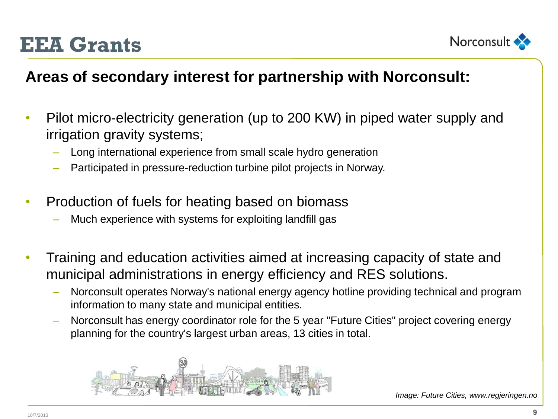



#### **Areas of secondary interest for partnership with Norconsult:**

- Pilot micro-electricity generation (up to 200 KW) in piped water supply and irrigation gravity systems;
	- Long international experience from small scale hydro generation
	- Participated in pressure-reduction turbine pilot projects in Norway.
- Production of fuels for heating based on biomass
	- Much experience with systems for exploiting landfill gas
- Training and education activities aimed at increasing capacity of state and municipal administrations in energy efficiency and RES solutions.
	- Norconsult operates Norway's national energy agency hotline providing technical and program information to many state and municipal entities.
	- Norconsult has energy coordinator role for the 5 year "Future Cities" project covering energy planning for the country's largest urban areas, 13 cities in total.

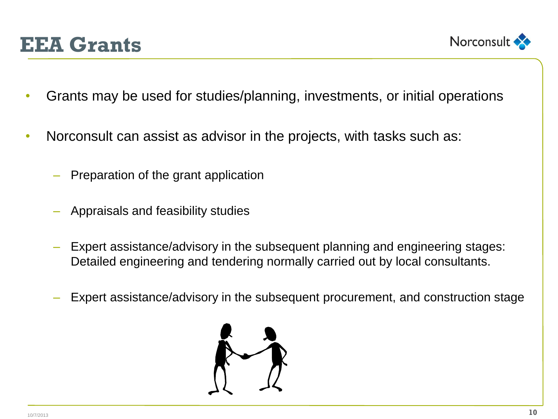## **EEA Grants**



- Grants may be used for studies/planning, investments, or initial operations
- Norconsult can assist as advisor in the projects, with tasks such as:
	- Preparation of the grant application
	- Appraisals and feasibility studies
	- Expert assistance/advisory in the subsequent planning and engineering stages: Detailed engineering and tendering normally carried out by local consultants.
	- Expert assistance/advisory in the subsequent procurement, and construction stage